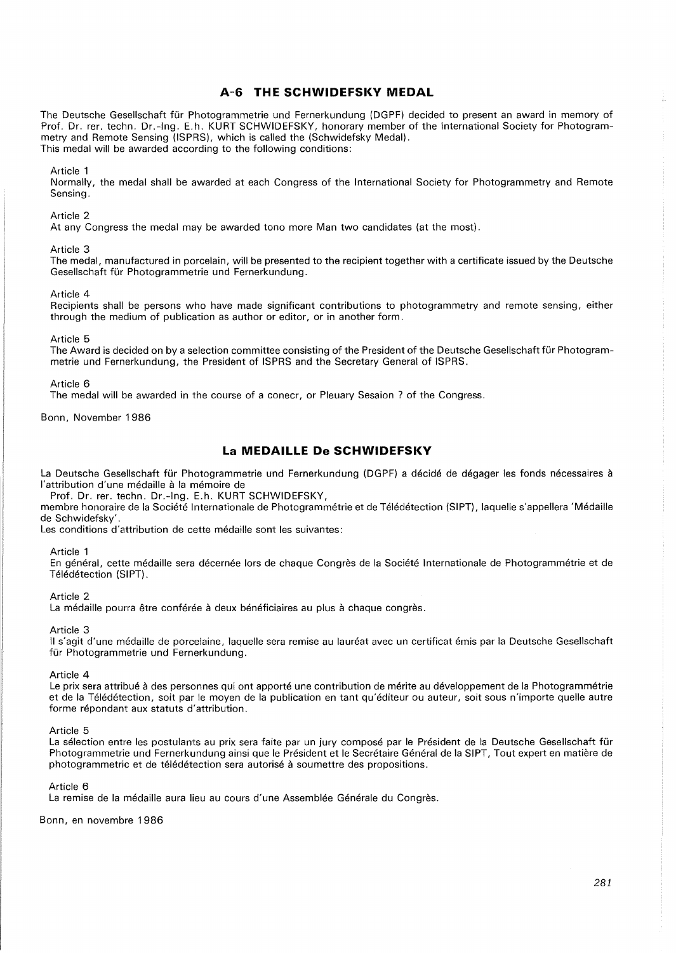# **A-6 THE SCHWIDEFSKY MEDAL**

The Deutsche Gesellschaft fur Photogrammetrie und Fernerkundung (DGPF) decided to present an award in memory of Prof. Dr. rer. techn. Dr.-lng. E.h. KURT SCHWIDEFSKY, honorary member of the International Society for Photogrammetry and Remote Sensing (ISPRS), which is called the (Schwidefsky Medal). This medal will be awarded according to the following conditions:

## Article 1

Normally, the medal shall be awarded at each Congress of the International Society for Photogrammetry and Remote Sensing.

### Article 2

At any Congress the medal may be awarded tono more Man two candidates (at the most).

### Article 3

The medal, manufactured in porcelain, will be presented to the recipient together with a certificate issued by the Deutsche Gesellschaft fur Photogrammetrie und Fernerkundung.

### Article 4

Recipients shall be persons who have made significant contributions to photogrammetry and remote sensing, either through the medium of publication as author or editor, or in another form.

Article 5

The Award is decided on by a selection committee consisting of the President of the Deutsche Gesellschaft für Photogrammetrie und Fernerkundung, the President of ISPRS and the Secretary General of ISPRS.

Article 6

The medal will be awarded in the course of a conecr, or Pleuary Sesaion ? of the Congress.

Bonn, November 1986

# **La MEDAILLE De SCHWIDEFSKY**

La Deutsche Gesellschaft für Photogrammetrie und Fernerkundung (DGPF) a décidé de dégager les fonds nécessaires à l'attribution d'une médaille à la mémoire de

Prof. Dr. rer. techn. Dr.-lng. E.h. KURT SCHWIDEFSKY,

membre honoraire de la Societe Internationale de Photogrammetrie et de Teledetection (SIPT), laquelle s'appellera 'Medaille de Schwidefsky'.

Les conditions d'attribution de cette médaille sont les suivantes:

## Article 1

En général, cette médaille sera décernée lors de chaque Congrès de la Société Internationale de Photogrammétrie et de Télédétection (SIPT).

### Article 2

La médaille pourra être conférée à deux bénéficiaires au plus à chaque congrès.

Article 3

II s'agit d'une medaille de porcelaine, laquelle sera remise au laureat avec un certificat emis par la Deutsche Gesellschaft für Photogrammetrie und Fernerkundung.

Article 4

Le prix sera attribué à des personnes qui ont apporté une contribution de mérite au développement de la Photogrammétrie et de la Télédétection, soit par le moyen de la publication en tant qu'éditeur ou auteur, soit sous n'importe quelle autre forme répondant aux statuts d'attribution.

Article 5

La sélection entre les postulants au prix sera faite par un jury composé par le Président de la Deutsche Gesellschaft für Photogrammetrie und Fernerkundung ainsi que le Président et le Secrétaire Général de la SIPT, Tout expert en matière de photogrammetric et de teledetection sera autorise a soumettre des propositions.

Article 6

La remise de la médaille aura lieu au cours d'une Assemblée Générale du Congrès.

Bonn, en novembre 1986